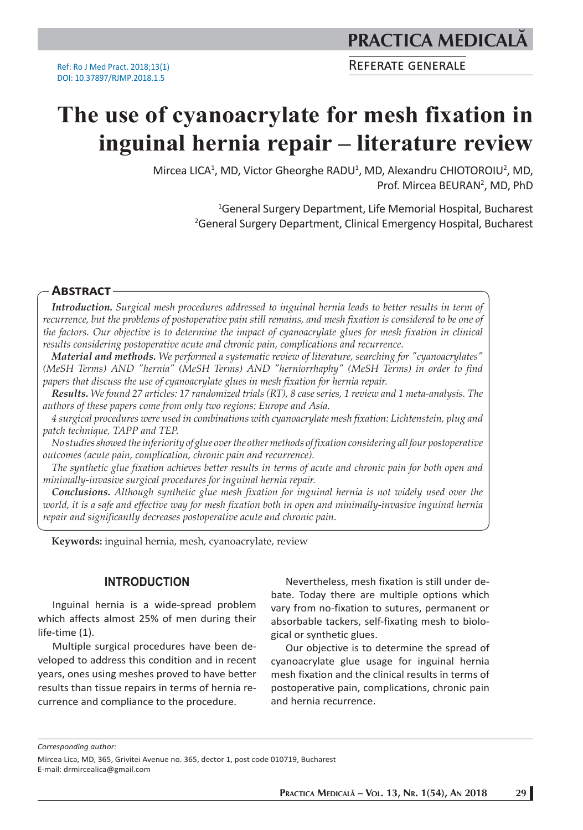REFERATE GENERALE

# **The use of cyanoacrylate for mesh fixation in inguinal hernia repair – literature review**

Mircea LICA<sup>1</sup>, MD, Victor Gheorghe RADU<sup>1</sup>, MD, Alexandru CHIOTOROIU<sup>2</sup>, MD, Prof. Mircea BEURAN<sup>2</sup>, MD, PhD

> 1 General Surgery Department, Life Memorial Hospital, Bucharest 2 General Surgery Department, Clinical Emergency Hospital, Bucharest

## **ABSTRACT**

*Introduction. Surgical mesh procedures addressed to inguinal hernia leads to better results in term of recurrence, but the problems of postoperative pain still remains, and mesh fixation is considered to be one of the factors. Our objective is to determine the impact of cyanoacrylate glues for mesh fixation in clinical results considering postoperative acute and chronic pain, complications and recurrence.*

*Material and methods. We performed a systematic review of literature, searching for "cyanoacrylates" (MeSH Terms) AND "hernia" (MeSH Terms) AND "herniorrhaphy" (MeSH Terms) in order to find papers that discuss the use of cyanoacrylate glues in mesh fixation for hernia repair.*

*Results. We found 27 articles: 17 randomized trials (RT), 8 case series, 1 review and 1 meta-analysis. The authors of these papers come from only two regions: Europe and Asia.*

*4 surgical procedures were used in combinations with cyanoacrylate mesh fixation: Lichtenstein, plug and patch technique, TAPP and TEP.*

*No studies showed the inferiority of glue over the other methods of fixation considering all four postoperative outcomes (acute pain, complication, chronic pain and recurrence).* 

*The synthetic glue fixation achieves better results in terms of acute and chronic pain for both open and minimally-invasive surgical procedures for inguinal hernia repair.*

*Conclusions. Although synthetic glue mesh fixation for inguinal hernia is not widely used over the*  world, it is a safe and effective way for mesh fixation both in open and minimally-invasive inguinal hernia *repair and significantly decreases postoperative acute and chronic pain.*

**Keywords:** inguinal hernia, mesh, cyanoacrylate, review

### **INTRODUCTION**

Inguinal hernia is a wide-spread problem which affects almost 25% of men during their life-time (1).

Multiple surgical procedures have been developed to address this condition and in recent years, ones using meshes proved to have better results than tissue repairs in terms of hernia recurrence and compliance to the procedure.

Nevertheless, mesh fixation is still under debate. Today there are multiple options which vary from no-fixation to sutures, permanent or absorbable tackers, self-fixating mesh to biological or synthetic glues.

Our objective is to determine the spread of cyanoacrylate glue usage for inguinal hernia mesh fixation and the clinical results in terms of postoperative pain, complications, chronic pain and hernia recurrence.

*Corresponding author:*

Mircea Lica, MD, 365, Grivitei Avenue no. 365, dector 1, post code 010719, Bucharest E-mail: drmircealica@gmail.com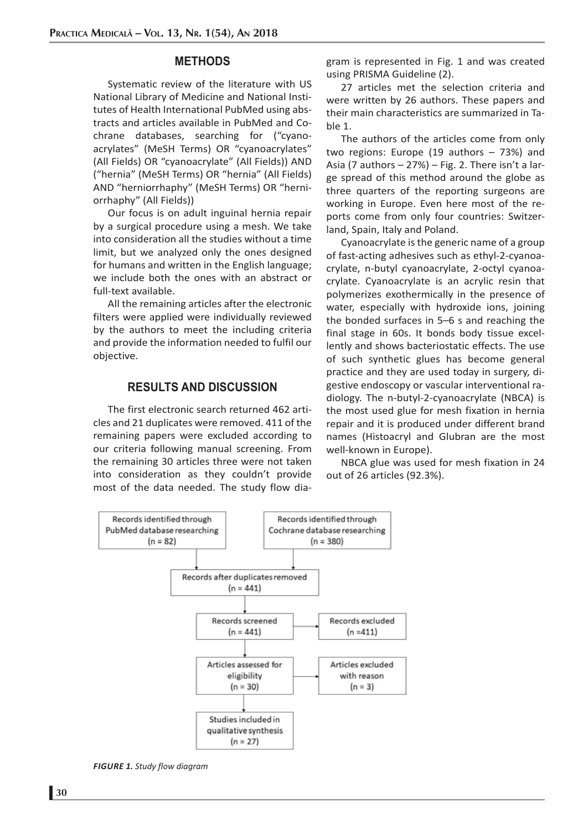## **METHODS**

Systematic review of the literature with US National Library of Medicine and National Institutes of Health International PubMed using abstracts and articles available in PubMed and Cochrane databases, searching for ("cyanoacrylates" (MeSH Terms) OR "cyanoacrylates" (All Fields) OR "cyanoacrylate" (All Fields)) AND ("hernia" (MeSH Terms) OR "hernia" (All Fields) AND "herniorrhaphy" (MeSH Terms) OR "herniorrhaphy" (All Fields))

Our focus is on adult inguinal hernia repair by a surgical procedure using a mesh. We take into consideration all the studies without a time limit, but we analyzed only the ones designed for humans and written in the English language; we include both the ones with an abstract or full-text available.

All the remaining articles after the electronic filters were applied were individually reviewed by the authors to meet the including criteria and provide the information needed to fulfil our objective.

# **RESULTS AND DISCUSSION**

The first electronic search returned 462 articles and 21 duplicates were removed. 411 of the remaining papers were excluded according to our criteria following manual screening. From the remaining 30 articles three were not taken into consideration as they couldn't provide most of the data needed. The study flow diagram is represented in Fig. 1 and was created using PRISMA Guideline (2).

27 articles met the selection criteria and were written by 26 authors. These papers and their main characteristics are summarized in Table 1.

The authors of the articles come from only two regions: Europe (19 authors – 73%) and Asia (7 authors  $-27%$ ) – Fig. 2. There isn't a large spread of this method around the globe as three quarters of the reporting surgeons are working in Europe. Even here most of the reports come from only four countries: Switzerland, Spain, Italy and Poland.

Cyanoacrylate is the generic name of a group of fast-acting adhesives such as ethyl-2-cyanoacrylate, n-butyl cyanoacrylate, 2-octyl cyanoacrylate. Cyanoacrylate is an acrylic resin that polymerizes exothermically in the presence of water, especially with hydroxide ions, joining the bonded surfaces in 5–6 s and reaching the final stage in 60s. It bonds body tissue excellently and shows bacteriostatic effects. The use of such synthetic glues has become general practice and they are used today in surgery, digestive endoscopy or vascular interventional radiology. The n-butyl-2-cyanoacrylate (NBCA) is the most used glue for mesh fixation in hernia repair and it is produced under different brand names (Histoacryl and Glubran are the most well-known in Europe).

NBCA glue was used for mesh fixation in 24 out of 26 articles (92.3%).



*FIGURE 1. Study flow diagram*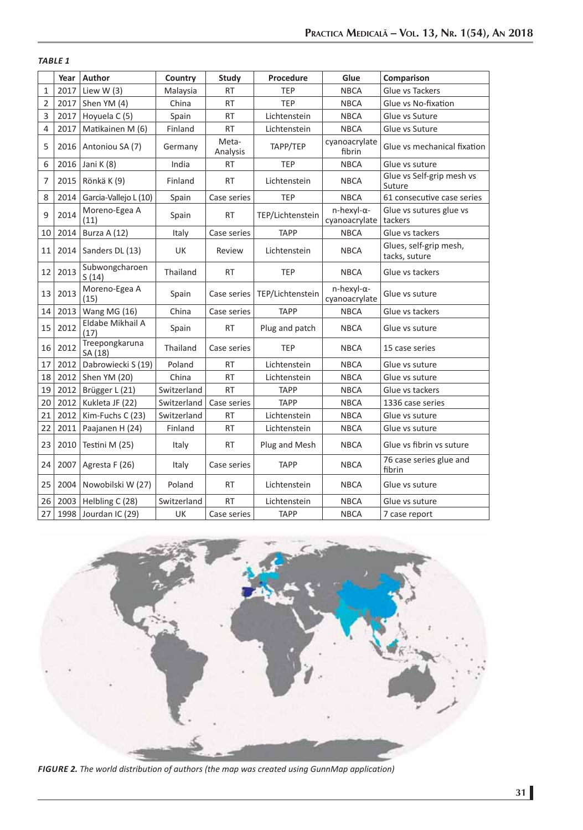## *TABLE 1*

|                | Year | Author                    | Country     | <b>Study</b>      | Procedure        | Glue                        | Comparison                              |
|----------------|------|---------------------------|-------------|-------------------|------------------|-----------------------------|-----------------------------------------|
| $\mathbf{1}$   | 2017 | Liew W $(3)$              | Malaysia    | <b>RT</b>         | <b>TEP</b>       | <b>NBCA</b>                 | Glue vs Tackers                         |
| $\overline{2}$ | 2017 | Shen YM (4)               | China       | <b>RT</b>         | <b>TEP</b>       | <b>NBCA</b>                 | Glue vs No-fixation                     |
| 3              | 2017 | Hoyuela C(5)              | Spain       | <b>RT</b>         | Lichtenstein     | <b>NBCA</b>                 | Glue vs Suture                          |
| 4              | 2017 | Matikainen M (6)          | Finland     | <b>RT</b>         | Lichtenstein     | <b>NBCA</b>                 | Glue vs Suture                          |
| 5              | 2016 | Antoniou SA (7)           | Germany     | Meta-<br>Analysis | TAPP/TEP         | cyanoacrylate<br>fibrin     | Glue vs mechanical fixation             |
| 6              | 2016 | Jani K (8)                | India       | <b>RT</b>         | <b>TEP</b>       | <b>NBCA</b>                 | Glue vs suture                          |
| $\overline{7}$ | 2015 | Rönkä K (9)               | Finland     | <b>RT</b>         | Lichtenstein     | <b>NBCA</b>                 | Glue vs Self-grip mesh vs<br>Suture     |
| 8              | 2014 | Garcia-Vallejo L (10)     | Spain       | Case series       | <b>TEP</b>       | <b>NBCA</b>                 | 61 consecutive case series              |
| 9              | 2014 | Moreno-Egea A<br>(11)     | Spain       | <b>RT</b>         | TEP/Lichtenstein | n-hexyl-α-<br>cyanoacrylate | Glue vs sutures glue vs<br>tackers      |
| 10             | 2014 | Burza A (12)              | Italy       | Case series       | <b>TAPP</b>      | <b>NBCA</b>                 | Glue vs tackers                         |
| 11             | 2014 | Sanders DL (13)           | UK          | Review            | Lichtenstein     | <b>NBCA</b>                 | Glues, self-grip mesh,<br>tacks, suture |
| 12             | 2013 | Subwongcharoen<br>S(14)   | Thailand    | <b>RT</b>         | <b>TEP</b>       | <b>NBCA</b>                 | Glue vs tackers                         |
| 13             | 2013 | Moreno-Egea A<br>(15)     | Spain       | Case series       | TEP/Lichtenstein | n-hexyl-α-<br>cyanoacrylate | Glue vs suture                          |
| 14             | 2013 | Wang MG (16)              | China       | Case series       | <b>TAPP</b>      | <b>NBCA</b>                 | Glue vs tackers                         |
| 15             | 2012 | Eldabe Mikhail A<br>(17)  | Spain       | <b>RT</b>         | Plug and patch   | <b>NBCA</b>                 | Glue vs suture                          |
| 16             | 2012 | Treepongkaruna<br>SA (18) | Thailand    | Case series       | <b>TEP</b>       | <b>NBCA</b>                 | 15 case series                          |
| 17             | 2012 | Dabrowiecki S (19)        | Poland      | <b>RT</b>         | Lichtenstein     | <b>NBCA</b>                 | Glue vs suture                          |
| 18             | 2012 | Shen YM (20)              | China       | <b>RT</b>         | Lichtenstein     | <b>NBCA</b>                 | Glue vs suture                          |
| 19             | 2012 | Brügger L (21)            | Switzerland | <b>RT</b>         | <b>TAPP</b>      | <b>NBCA</b>                 | Glue vs tackers                         |
| 20             | 2012 | Kukleta JF (22)           | Switzerland | Case series       | <b>TAPP</b>      | <b>NBCA</b>                 | 1336 case series                        |
| 21             | 2012 | Kim-Fuchs C (23)          | Switzerland | <b>RT</b>         | Lichtenstein     | <b>NBCA</b>                 | Glue vs suture                          |
| 22             | 2011 | Paajanen H (24)           | Finland     | <b>RT</b>         | Lichtenstein     | <b>NBCA</b>                 | Glue vs suture                          |
| 23             | 2010 | Testini M (25)            | Italy       | <b>RT</b>         | Plug and Mesh    | <b>NBCA</b>                 | Glue vs fibrin vs suture                |
| 24             | 2007 | Agresta F (26)            | Italy       | Case series       | <b>TAPP</b>      | <b>NBCA</b>                 | 76 case series glue and<br>fibrin       |
| 25             | 2004 | Nowobilski W (27)         | Poland      | <b>RT</b>         | Lichtenstein     | <b>NBCA</b>                 | Glue vs suture                          |
| 26             | 2003 | Helbling C (28)           | Switzerland | <b>RT</b>         | Lichtenstein     | <b>NBCA</b>                 | Glue vs suture                          |
| 27             | 1998 | Jourdan IC (29)           | UK          | Case series       | <b>TAPP</b>      | <b>NBCA</b>                 | 7 case report                           |



*FIGURE 2. The world distribution of authors (the map was created using GunnMap application)*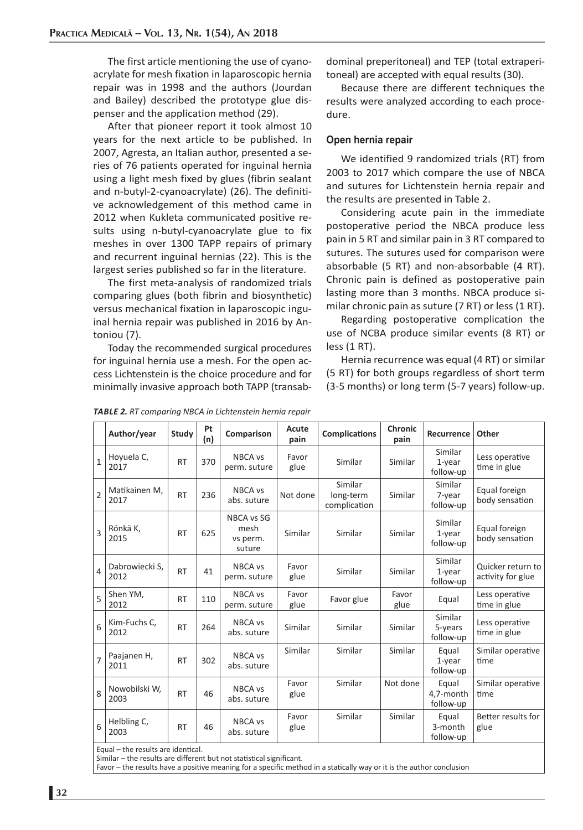The first article mentioning the use of cyanoacrylate for mesh fixation in laparoscopic hernia repair was in 1998 and the authors (Jourdan and Bailey) described the prototype glue dispenser and the application method (29).

After that pioneer report it took almost 10 years for the next article to be published. In 2007, Agresta, an Italian author, presented a series of 76 patients operated for inguinal hernia using a light mesh fixed by glues (fibrin sealant and n-butyl-2-cyanoacrylate) (26). The definitive acknowledgement of this method came in 2012 when Kukleta communicated positive results using n-butyl-cyanoacrylate glue to fix meshes in over 1300 TAPP repairs of primary and recurrent inguinal hernias (22). This is the largest series published so far in the literature.

The first meta-analysis of randomized trials comparing glues (both fibrin and biosynthetic) versus mechanical fixation in laparoscopic inguinal hernia repair was published in 2016 by Antoniou (7).

Today the recommended surgical procedures for inguinal hernia use a mesh. For the open access Lichtenstein is the choice procedure and for minimally invasive approach both TAPP (transabdominal preperitoneal) and TEP (total extraperitoneal) are accepted with equal results (30).

Because there are different techniques the results were analyzed according to each procedure.

#### **Open hernia repair**

We identified 9 randomized trials (RT) from 2003 to 2017 which compare the use of NBCA and sutures for Lichtenstein hernia repair and the results are presented in Table 2.

Considering acute pain in the immediate postoperative period the NBCA produce less pain in 5 RT and similar pain in 3 RT compared to sutures. The sutures used for comparison were absorbable (5 RT) and non-absorbable (4 RT). Chronic pain is defined as postoperative pain lasting more than 3 months. NBCA produce similar chronic pain as suture (7 RT) or less (1 RT).

Regarding postoperative complication the use of NCBA produce similar events (8 RT) or less (1 RT).

Hernia recurrence was equal (4 RT) or similar (5 RT) for both groups regardless of short term (3-5 months) or long term (5-7 years) follow-up.

|                | Author/year            | Study     | Pt<br>(n) | Comparison                               | Acute<br>pain | <b>Complications</b>                 | Chronic<br>pain | <b>Recurrence</b>                 | Other                                  |
|----------------|------------------------|-----------|-----------|------------------------------------------|---------------|--------------------------------------|-----------------|-----------------------------------|----------------------------------------|
| $\mathbf{1}$   | Hoyuela C,<br>2017     | <b>RT</b> | 370       | NBCA vs<br>perm. suture                  | Favor<br>glue | Similar                              | Similar         | Similar<br>$1$ -year<br>follow-up | Less operative<br>time in glue         |
| $\overline{2}$ | Matikainen M,<br>2017  | <b>RT</b> | 236       | NBCA vs<br>abs. suture                   | Not done      | Similar<br>long-term<br>complication | Similar         | Similar<br>7-year<br>follow-up    | Equal foreign<br>body sensation        |
| 3              | Rönkä K,<br>2015       | <b>RT</b> | 625       | NBCA vs SG<br>mesh<br>vs perm.<br>suture | Similar       | Similar                              | Similar         | Similar<br>$1$ -year<br>follow-up | Equal foreign<br>body sensation        |
| $\overline{4}$ | Dabrowiecki S,<br>2012 | <b>RT</b> | 41        | NBCA vs<br>perm. suture                  | Favor<br>glue | Similar                              | Similar         | Similar<br>$1$ -year<br>follow-up | Quicker return to<br>activity for glue |
| 5              | Shen YM,<br>2012       | <b>RT</b> | 110       | NBCA vs<br>perm. suture                  | Favor<br>glue | Favor glue                           | Favor<br>glue   | Equal                             | Less operative<br>time in glue         |
| 6              | Kim-Fuchs C,<br>2012   | <b>RT</b> | 264       | NBCA vs<br>abs. suture                   | Similar       | Similar                              | Similar         | Similar<br>5-years<br>follow-up   | Less operative<br>time in glue         |
| $\overline{7}$ | Paajanen H,<br>2011    | <b>RT</b> | 302       | NBCA vs<br>abs. suture                   | Similar       | Similar                              | Similar         | Equal<br>$1$ -year<br>follow-up   | Similar operative<br>time              |
| 8              | Nowobilski W,<br>2003  | <b>RT</b> | 46        | NBCA vs<br>abs. suture                   | Favor<br>glue | Similar                              | Not done        | Equal<br>4,7-month<br>follow-up   | Similar operative<br>time              |
| 6              | Helbling C,<br>2003    | <b>RT</b> | 46        | NBCA vs<br>abs. suture                   | Favor<br>glue | Similar                              | Similar         | Equal<br>3-month<br>follow-up     | Better results for<br>glue             |

*TABLE 2. RT comparing NBCA in Lichtenstein hernia repair*

Equal – the results are identical.

Similar – the results are different but not statistical significant.

Favor – the results have a positive meaning for a specific method in a statically way or it is the author conclusion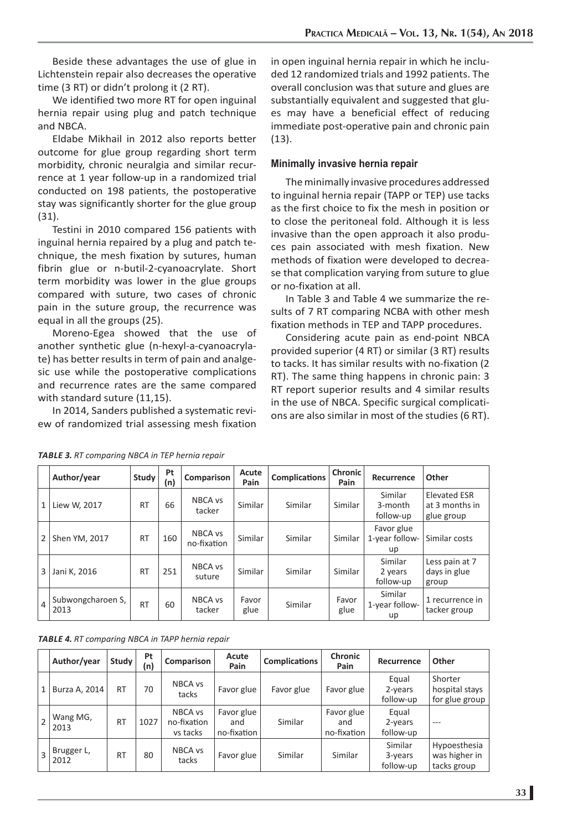Beside these advantages the use of glue in Lichtenstein repair also decreases the operative time (3 RT) or didn't prolong it (2 RT).

We identified two more RT for open inguinal hernia repair using plug and patch technique and NBCA.

Eldabe Mikhail in 2012 also reports better outcome for glue group regarding short term morbidity, chronic neuralgia and similar recurrence at 1 year follow-up in a randomized trial conducted on 198 patients, the postoperative stay was significantly shorter for the glue group (31).

Testini in 2010 compared 156 patients with inguinal hernia repaired by a plug and patch technique, the mesh fixation by sutures, human fibrin glue or n-butil-2-cyanoacrylate. Short term morbidity was lower in the glue groups compared with suture, two cases of chronic pain in the suture group, the recurrence was equal in all the groups (25).

Moreno-Egea showed that the use of another synthetic glue (n-hexyl-a-cyanoacrylate) has better results in term of pain and analgesic use while the postoperative complications and recurrence rates are the same compared with standard suture (11,15).

In 2014, Sanders published a systematic review of randomized trial assessing mesh fixation

in open inguinal hernia repair in which he included 12 randomized trials and 1992 patients. The overall conclusion was that suture and glues are substantially equivalent and suggested that glues may have a beneficial effect of reducing immediate post-operative pain and chronic pain (13).

#### **Minimally invasive hernia repair**

The minimally invasive procedures addressed to inguinal hernia repair (TAPP or TEP) use tacks as the first choice to fix the mesh in position or to close the peritoneal fold. Although it is less invasive than the open approach it also produces pain associated with mesh fixation. New methods of fixation were developed to decrease that complication varying from suture to glue or no-fixation at all.

In Table 3 and Table 4 we summarize the results of 7 RT comparing NCBA with other mesh fixation methods in TEP and TAPP procedures.

Considering acute pain as end-point NBCA provided superior (4 RT) or similar (3 RT) results to tacks. It has similar results with no-fixation (2 RT). The same thing happens in chronic pain: 3 RT report superior results and 4 similar results in the use of NBCA. Specific surgical complications are also similar in most of the studies (6 RT).

|  |  |  | <b>TABLE 3.</b> RT comparing NBCA in TEP hernia repair |
|--|--|--|--------------------------------------------------------|
|--|--|--|--------------------------------------------------------|

|              | Author/year               | Study     | Pt<br>(n) | Comparison             | Acute<br>Pain | <b>Complications</b> | <b>Chronic</b><br>Pain | Recurrence                         | Other                                               |
|--------------|---------------------------|-----------|-----------|------------------------|---------------|----------------------|------------------------|------------------------------------|-----------------------------------------------------|
| $\mathbf{1}$ | Liew W, 2017              | <b>RT</b> | 66        | NBCA vs<br>tacker      | Similar       | Similar              | Similar                | Similar<br>3-month<br>follow-up    | <b>Elevated ESR</b><br>at 3 months in<br>glue group |
| 2            | Shen YM, 2017             | <b>RT</b> | 160       | NBCA vs<br>no-fixation | Similar       | Similar              | Similar                | Favor glue<br>1-year follow-<br>up | Similar costs                                       |
| 3            | Jani K, 2016              | <b>RT</b> | 251       | NBCA vs<br>suture      | Similar       | Similar              | Similar                | Similar<br>2 years<br>follow-up    | Less pain at 7<br>days in glue<br>group             |
| $\sqrt{4}$   | Subwongcharoen S,<br>2013 | <b>RT</b> | 60        | NBCA vs<br>tacker      | Favor<br>glue | Similar              | Favor<br>glue          | Similar<br>1-year follow-<br>up    | 1 recurrence in<br>tacker group                     |

*TABLE 4. RT comparing NBCA in TAPP hernia repair*

|                | Author/year        | Study     | Pt<br>(n) | Comparison                         | Acute<br>Pain                    | <b>Complications</b> | <b>Chronic</b><br>Pain           | Recurrence                       | Other                                        |
|----------------|--------------------|-----------|-----------|------------------------------------|----------------------------------|----------------------|----------------------------------|----------------------------------|----------------------------------------------|
| 1              | Burza A, 2014      | <b>RT</b> | 70        | NBCA vs<br>tacks                   | Favor glue                       | Favor glue           | Favor glue                       | Equal<br>$2$ -years<br>follow-up | Shorter<br>hospital stays<br>for glue group  |
|                | Wang MG,<br>2013   | <b>RT</b> | 1027      | NBCA vs<br>no-fixation<br>vs tacks | Favor glue<br>and<br>no-fixation | Similar              | Favor glue<br>and<br>no-fixation | Equal<br>$2$ -years<br>follow-up | ---                                          |
| $\overline{3}$ | Brugger L,<br>2012 | <b>RT</b> | 80        | NBCA vs<br>tacks                   | Favor glue                       | Similar              | <b>Similar</b>                   | Similar<br>3-years<br>follow-up  | Hypoesthesia<br>was higher in<br>tacks group |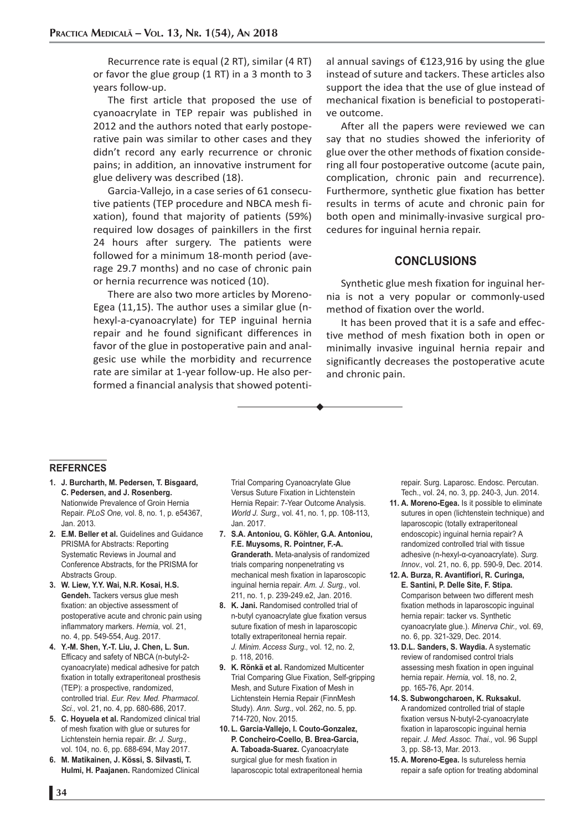Recurrence rate is equal (2 RT), similar (4 RT) or favor the glue group (1 RT) in a 3 month to 3 years follow-up.

The first article that proposed the use of cyanoacrylate in TEP repair was published in 2012 and the authors noted that early postoperative pain was similar to other cases and they didn't record any early recurrence or chronic pains; in addition, an innovative instrument for glue delivery was described (18).

Garcia-Vallejo, in a case series of 61 consecutive patients (TEP procedure and NBCA mesh fixation), found that majority of patients (59%) required low dosages of painkillers in the first 24 hours after surgery. The patients were followed for a minimum 18-month period (average 29.7 months) and no case of chronic pain or hernia recurrence was noticed (10).

There are also two more articles by Moreno-Egea (11,15). The author uses a similar glue (nhexyl-a-cyanoacrylate) for TEP inguinal hernia repair and he found significant differences in favor of the glue in postoperative pain and analgesic use while the morbidity and recurrence rate are similar at 1-year follow-up. He also performed a financial analysis that showed potential annual savings of €123,916 by using the glue instead of suture and tackers. These articles also support the idea that the use of glue instead of mechanical fixation is beneficial to postoperative outcome.

After all the papers were reviewed we can say that no studies showed the inferiority of glue over the other methods of fixation considering all four postoperative outcome (acute pain, complication, chronic pain and recurrence). Furthermore, synthetic glue fixation has better results in terms of acute and chronic pain for both open and minimally-invasive surgical procedures for inguinal hernia repair.

### **CONCLUSIONS**

Synthetic glue mesh fixation for inguinal hernia is not a very popular or commonly-used method of fixation over the world.

It has been proved that it is a safe and effective method of mesh fixation both in open or minimally invasive inguinal hernia repair and significantly decreases the postoperative acute and chronic pain.

#### **REFERNCES**

- **1. J. Burcharth, M. Pedersen, T. Bisgaard, C. Pedersen, and J. Rosenberg.**  Nationwide Prevalence of Groin Hernia Repair. *PLoS One,* vol. 8, no. 1, p. e54367, Jan. 2013.
- **2. E.M. Beller et al.** Guidelines and Guidance PRISMA for Abstracts: Reporting Systematic Reviews in Journal and Conference Abstracts, for the PRISMA for Abstracts Group.
- **3. W. Liew, Y.Y. Wai, N.R. Kosai, H.S. Gendeh.** Tackers versus glue mesh fixation: an objective assessment of postoperative acute and chronic pain using inflammatory markers. *Hernia,* vol. 21, no. 4, pp. 549-554, Aug. 2017.
- **4. Y.-M. Shen, Y.-T. Liu, J. Chen, L. Sun.** Efficacy and safety of NBCA (n-butyl-2 cyanoacrylate) medical adhesive for patch fixation in totally extraperitoneal prosthesis (TEP): a prospective, randomized, controlled trial. *Eur. Rev. Med. Pharmacol. Sci.,* vol. 21, no. 4, pp. 680-686, 2017.
- **5. C. Hoyuela et al.** Randomized clinical trial of mesh fixation with glue or sutures for Lichtenstein hernia repair. *Br. J. Surg.,* vol. 104, no. 6, pp. 688-694, May 2017.
- **6. M. Matikainen, J. Kössi, S. Silvasti, T. Hulmi, H. Paajanen.** Randomized Clinical

Trial Comparing Cyanoacrylate Glue Versus Suture Fixation in Lichtenstein Hernia Repair: 7-Year Outcome Analysis. *World J. Surg.,* vol. 41, no. 1, pp. 108-113, Jan. 2017.

- **7. S.A. Antoniou, G. Köhler, G.A. Antoniou, F.E. Muysoms, R. Pointner, F.-A. Granderath.** Meta-analysis of randomized trials comparing nonpenetrating vs mechanical mesh fixation in laparoscopic inguinal hernia repair. *Am. J. Surg.,* vol. 211, no. 1, p. 239-249.e2, Jan. 2016.
- **8. K. Jani.** Randomised controlled trial of n-butyl cyanoacrylate glue fixation versus suture fixation of mesh in laparoscopic totally extraperitoneal hernia repair. *J. Minim. Access Surg.,* vol. 12, no. 2, p. 118, 2016.
- **9. K. Rönkä et al.** Randomized Multicenter Trial Comparing Glue Fixation, Self-gripping Mesh, and Suture Fixation of Mesh in Lichtenstein Hernia Repair (FinnMesh Study). *Ann. Surg.,* vol. 262, no. 5, pp. 714-720, Nov. 2015.
- **10. L. Garcia-Vallejo, I. Couto-Gonzalez, P. Concheiro-Coello, B. Brea-Garcia, A. Taboada-Suarez.** Cyanoacrylate surgical glue for mesh fixation in laparoscopic total extraperitoneal hernia

repair. Surg. Laparosc. Endosc. Percutan. Tech., vol. 24, no. 3, pp. 240-3, Jun. 2014.

- **11. A. Moreno-Egea.** Is it possible to eliminate sutures in open (lichtenstein technique) and laparoscopic (totally extraperitoneal endoscopic) inguinal hernia repair? A randomized controlled trial with tissue adhesive (n-hexyl-α-cyanoacrylate). *Surg. Innov.,* vol. 21, no. 6, pp. 590-9, Dec. 2014.
- **12. A. Burza, R. Avantifiori, R. Curinga, E. Santini, P. Delle Site, F. Stipa.** Comparison between two different mesh fixation methods in laparoscopic inguinal hernia repair: tacker vs. Synthetic cyanoacrylate glue.). *Minerva Chir.,* vol. 69, no. 6, pp. 321-329, Dec. 2014.
- **13. D.L. Sanders, S. Waydia.** A systematic review of randomised control trials assessing mesh fixation in open inguinal hernia repair. *Hernia,* vol. 18, no. 2, pp. 165-76, Apr. 2014.
- **14. S. Subwongcharoen, K. Ruksakul.** A randomized controlled trial of staple fixation versus N-butyl-2-cyanoacrylate fixation in laparoscopic inguinal hernia repair. *J. Med. Assoc. Thai.,* vol. 96 Suppl 3, pp. S8-13, Mar. 2013.
- **15. A. Moreno-Egea.** Is sutureless hernia repair a safe option for treating abdominal